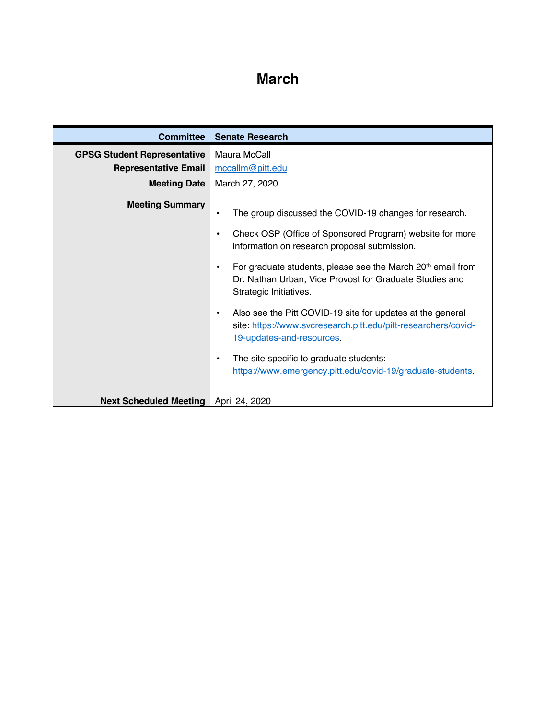## **March**

| <b>Committee</b>                   | <b>Senate Research</b>                                                                                                                                                                                                                                                                                                                                                                                                                                                                                                                                                                                                                                |
|------------------------------------|-------------------------------------------------------------------------------------------------------------------------------------------------------------------------------------------------------------------------------------------------------------------------------------------------------------------------------------------------------------------------------------------------------------------------------------------------------------------------------------------------------------------------------------------------------------------------------------------------------------------------------------------------------|
| <b>GPSG Student Representative</b> | Maura McCall                                                                                                                                                                                                                                                                                                                                                                                                                                                                                                                                                                                                                                          |
| <b>Representative Email</b>        | mccallm@pitt.edu                                                                                                                                                                                                                                                                                                                                                                                                                                                                                                                                                                                                                                      |
| <b>Meeting Date</b>                | March 27, 2020                                                                                                                                                                                                                                                                                                                                                                                                                                                                                                                                                                                                                                        |
| <b>Meeting Summary</b>             | The group discussed the COVID-19 changes for research.<br>$\bullet$<br>Check OSP (Office of Sponsored Program) website for more<br>$\bullet$<br>information on research proposal submission.<br>For graduate students, please see the March 20th email from<br>$\bullet$<br>Dr. Nathan Urban, Vice Provost for Graduate Studies and<br>Strategic Initiatives.<br>Also see the Pitt COVID-19 site for updates at the general<br>٠<br>site: https://www.svcresearch.pitt.edu/pitt-researchers/covid-<br>19-updates-and-resources.<br>The site specific to graduate students:<br>$\bullet$<br>https://www.emergency.pitt.edu/covid-19/graduate-students. |
| <b>Next Scheduled Meeting</b>      | April 24, 2020                                                                                                                                                                                                                                                                                                                                                                                                                                                                                                                                                                                                                                        |